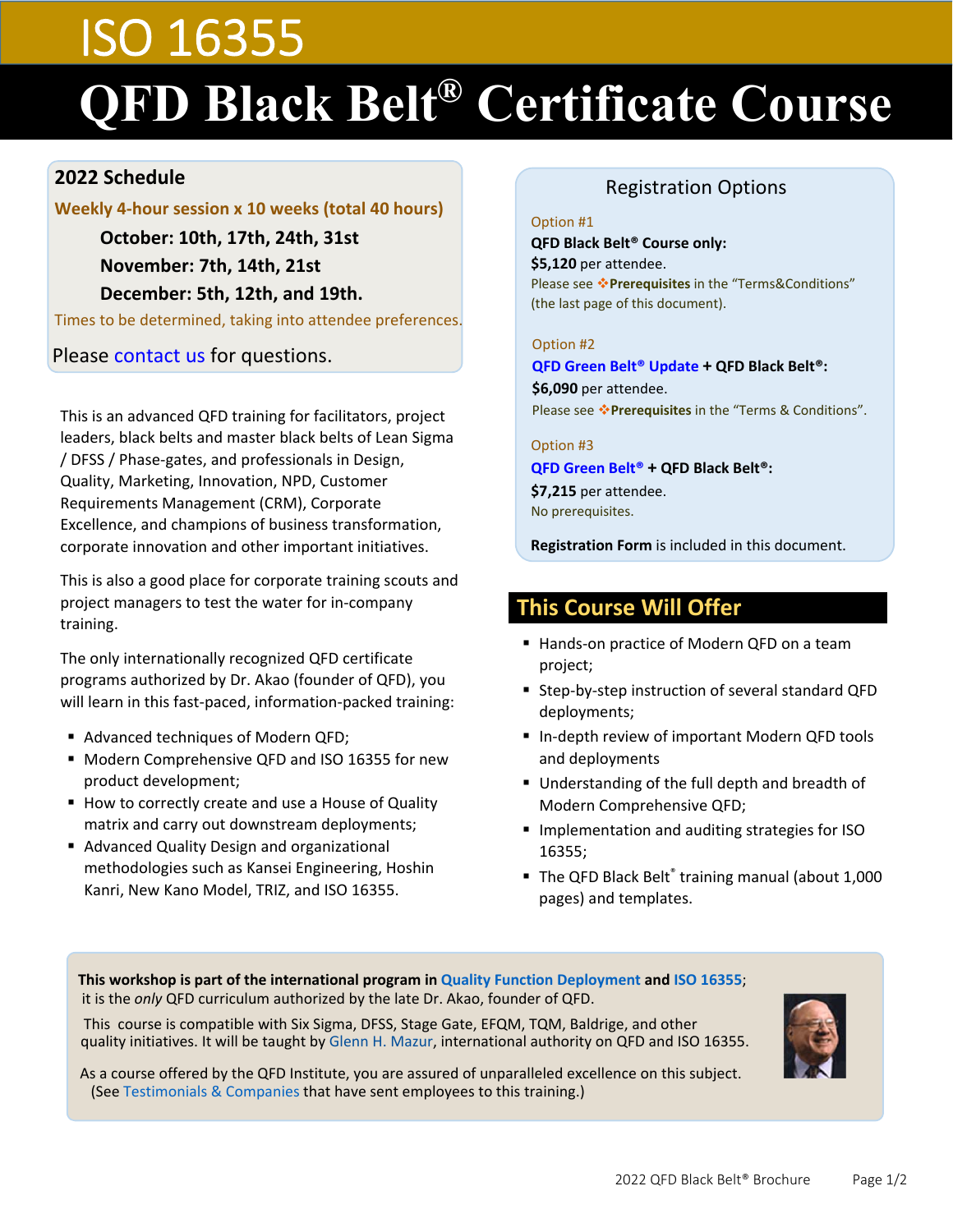# ISO 16355 **QFD Black Belt® Certificate Course**

#### **2022 Schedule**

#### **Weekly 4-hour session x 10 weeks (total 40 hours)**

 **October: 10th, 17th, 24th, 31st November: 7th, 14th, 21st December: 5th, 12th, and 19th.**

Times to be determined, taking into attendee preferences.

Please [contact us](mailto:contact@qfdi.org) for questions.

This is an advanced QFD training for facilitators, project leaders, black belts and master black belts of Lean Sigma / DFSS / Phase‐gates, and professionals in Design, Quality, Marketing, Innovation, NPD, Customer Requirements Management (CRM), Corporate Excellence, and champions of business transformation, corporate innovation and other important initiatives.

This is also a good place for corporate training scouts and project managers to test the water for in‐company training.

The only internationally recognized QFD certificate programs authorized by Dr. Akao (founder of QFD), you will learn in this fast‐paced, information‐packed training:

- Advanced techniques of Modern QFD;
- Modern Comprehensive QFD and ISO 16355 for new product development;
- How to correctly create and use a House of Quality matrix and carry out downstream deployments;
- **Advanced Quality Design and organizational** methodologies such as Kansei Engineering, Hoshin Kanri, New Kano Model, TRIZ, and ISO 16355.

### Registration Options

#### Option #1

**QFD Black Belt® Course only: \$5,120** per attendee. Please see \*Prerequisites in the "Terms&Conditions" (the last page of this document).

#### Option #2

**QFD [Green Belt® Update](http://qfdi.org/gb_update.html) + QFD Black Belt®: \$6,090** per attendee. Please see **Prerequisites** in the "Terms & Conditions".

#### Option #3 **[QFD Green Belt®](http://www.qfdi.org/gb_public_virtual.html) + QFD Black Belt®: \$7,215** per attendee. No prerequisites.

**Registration Form** is included in this document.

# **This Course Will Offer**

- Hands-on practice of Modern QFD on a team project;
- Step-by-step instruction of several standard QFD deployments;
- In-depth review of important Modern QFD tools and deployments
- Understanding of the full depth and breadth of Modern Comprehensive QFD;
- **Implementation and auditing strategies for ISO** 16355;
- The QFD Black Belt® training manual (about 1,000 pages) and templates.

#### **This workshop is part of the international program in [Quality Function Deployment](http://qfdi.org/what_is_qfd/what_is_qfd.html) and [ISO 16355](https://www.iso.org/committee/585031/x/catalogue/)**; it is the *only* QFD curriculum authorized by the late Dr. Akao, founder of QFD.

This course is compatible with Six Sigma, DFSS, Stage Gate, EFQM, TQM, Baldrige, and other quality initiatives. It will be taught by [Glenn H. Mazur,](http://qfdi.org/glenn_mazur.html) international authority on QFD and ISO 16355.

As a course offered by the QFD Institute, you are assured of unparalleled excellence on this subject. (See [Testimonials &](http://qfdi.org/training/blackbelt_testimonials.html) Companies that have sent employees to this training.)

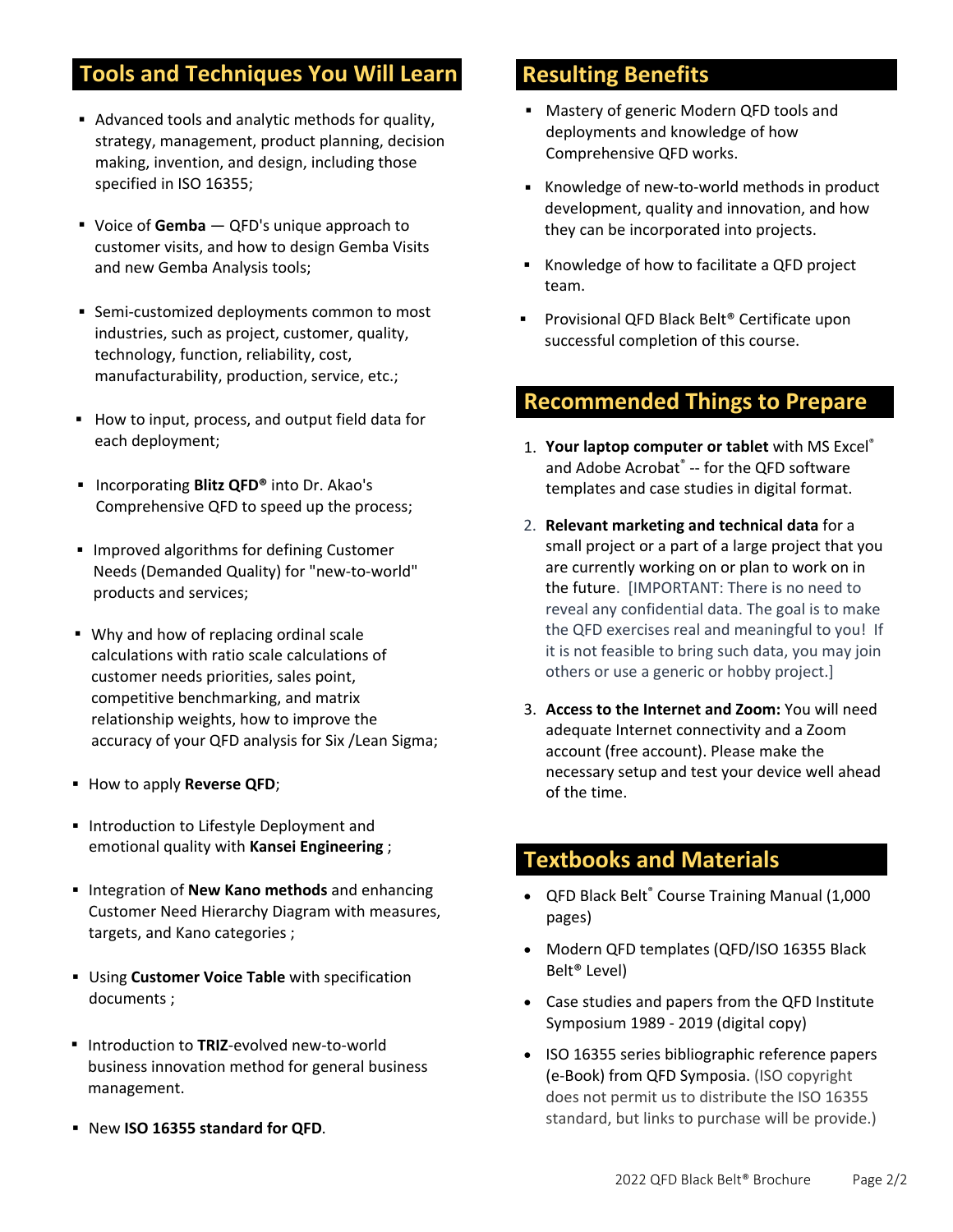# **Tools and Techniques You Will Learn**

- Advanced tools and analytic methods for quality, strategy, management, product planning, decision making, invention, and design, including those specified in ISO 16355;
- Voice of **Gemba** QFD's unique approach to customer visits, and how to design Gemba Visits and new Gemba Analysis tools;
- Semi-customized deployments common to most industries, such as project, customer, quality, technology, function, reliability, cost, manufacturability, production, service, etc.;
- How to input, process, and output field data for each deployment;
- Incorporating **Blitz QFD<sup>®</sup>** into Dr. Akao's Comprehensive QFD to speed up the process;
- **IMPROVED ALGORITY IN STRONG EVALUATE:** Improved algorithms for defining Customer Needs (Demanded Quality) for "new‐to‐world" products and services;
- Why and how of replacing ordinal scale calculations with ratio scale calculations of customer needs priorities, sales point, competitive benchmarking, and matrix relationship weights, how to improve the accuracy of your QFD analysis for Six /Lean Sigma;
- **How to apply Reverse QFD;**
- Introduction to Lifestyle Deployment and emotional quality with **Kansei Engineering** ;
- **Integration of New Kano methods** and enhancing Customer Need Hierarchy Diagram with measures, targets, and Kano categories ;
- Using **Customer Voice Table** with specification documents ;
- Introduction to TRIZ-evolved new-to-world business innovation method for general business management.
- New **ISO 16355 standard for QFD**.

## **Resulting Benefits**

- Mastery of generic Modern QFD tools and deployments and knowledge of how Comprehensive QFD works.
- Knowledge of new-to-world methods in product development, quality and innovation, and how they can be incorporated into projects.
- Knowledge of how to facilitate a QFD project team.
- Provisional QFD Black Belt® Certificate upon successful completion of this course.

## **Recommended Things to Prepare**

- 1. **Your laptop computer or tablet** with MS Excel® and Adobe Acrobat® -- for the QFD software templates and case studies in digital format.
- 2. **Relevant marketing and technical data** for a small project or a part of a large project that you are currently working on or plan to work on in the future. [IMPORTANT: There is no need to reveal any confidential data. The goal is to make the QFD exercises real and meaningful to you! If it is not feasible to bring such data, you may join others or use a generic or hobby project.]
- 3. **Access to the Internet and Zoom:** You will need adequate Internet connectivity and a Zoom account (free account). Please make the necessary setup and test your device well ahead of the time.

### **Textbooks and Materials**

- QFD Black Belt® Course Training Manual (1,000 pages)
- Modern QFD templates (QFD/ISO 16355 Black Belt® Level)
- Case studies and papers from the QFD Institute Symposium 1989 ‐ 2019 (digital copy)
- ISO 16355 series bibliographic reference papers (e‐Book) from QFD Symposia. (ISO copyright does not permit us to distribute the ISO 16355 standard, but links to purchase will be provide.)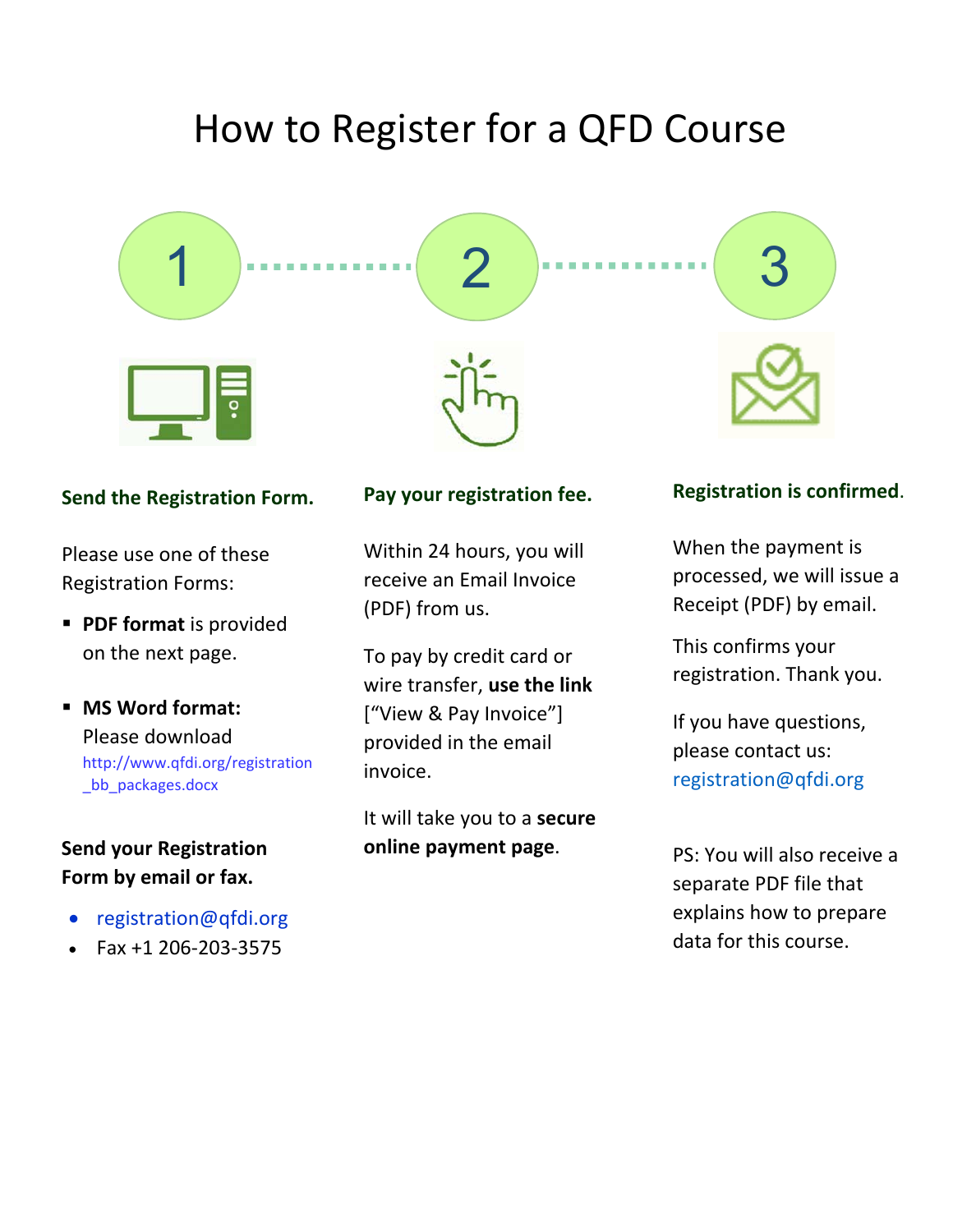# How to Register for a QFD Course



#### **Send the Registration Form.**

Please use one of these Registration Forms:

- **PDF format** is provided on the next page.
- **MS Word format:** Please download [http://www.qfdi.org/registration](http://www.qfdi.org/registration_bb_packages.docx) \_bb\_packages.docx

# **Send your Registration Form by email or fax.**

- <registration@qfdi.org>
- Fax +1 206‐203‐3575

#### **Pay your registration fee.**

Within 24 hours, you will receive an Email Invoice (PDF) from us.

To pay by credit card or wire transfer, **use the link** ["View & Pay Invoice"] provided in the email invoice.

It will take you to a **secure online payment page**.

#### **Registration is confirmed**.

When the payment is processed, we will issue a Receipt (PDF) by email.

This confirms your registration. Thank you.

If you have questions, please contact us: [registration@qfdi.org](mailto:registration@qfdi.org) 

PS: You will also receive a separate PDF file that explains how to prepare data for this course.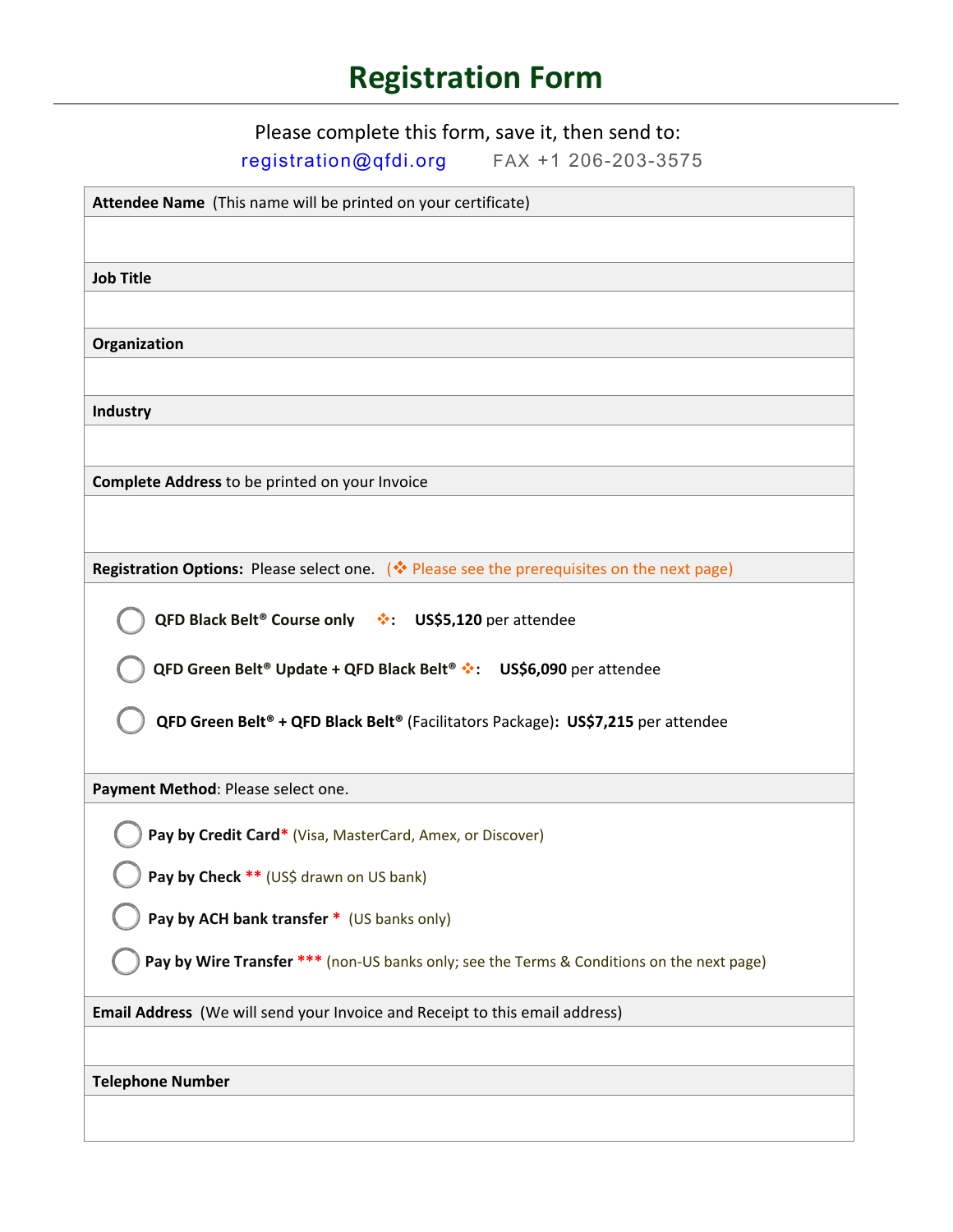# **Registration Form**

Please complete this form, save it, then send to:

[registration@qfdi.org](mailto:registration@qfdi.org) FAX +1 206-203-3575

| Attendee Name (This name will be printed on your certificate)                              |
|--------------------------------------------------------------------------------------------|
|                                                                                            |
| <b>Job Title</b>                                                                           |
|                                                                                            |
| Organization                                                                               |
|                                                                                            |
| Industry                                                                                   |
|                                                                                            |
|                                                                                            |
| Complete Address to be printed on your Invoice                                             |
|                                                                                            |
| Registration Options: Please select one. (* Please see the prerequisites on the next page) |
|                                                                                            |
| QFD Black Belt® Course only $\cdot \cdot$ : US\$5,120 per attendee                         |
| QFD Green Belt® Update + QFD Black Belt® *: US\$6,090 per attendee                         |
|                                                                                            |
| QFD Green Belt® + QFD Black Belt® (Facilitators Package): US\$7,215 per attendee           |
|                                                                                            |
| Payment Method: Please select one.                                                         |
| Pay by Credit Card* (Visa, MasterCard, Amex, or Discover)                                  |
| Pay by Check ** (US\$ drawn on US bank)                                                    |
| Pay by ACH bank transfer * (US banks only)                                                 |
| Pay by Wire Transfer *** (non-US banks only; see the Terms & Conditions on the next page)  |
|                                                                                            |
| Email Address (We will send your Invoice and Receipt to this email address)                |
|                                                                                            |
| <b>Telephone Number</b>                                                                    |
|                                                                                            |